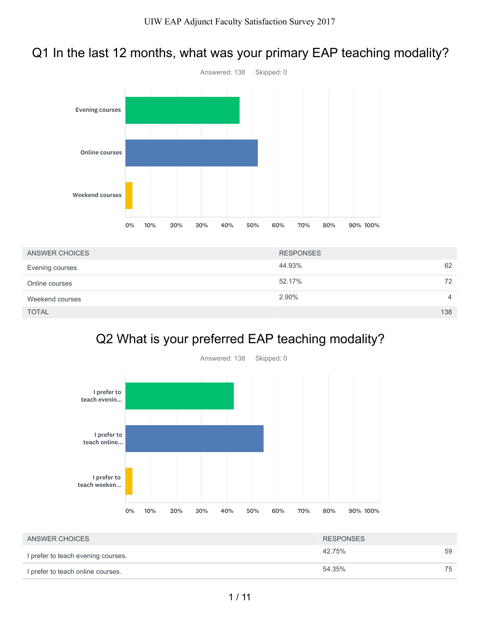# Q1 In the last 12 months, what was your primary EAP teaching modality?



| ANSWER CHOICES  | <b>RESPONSES</b> |     |
|-----------------|------------------|-----|
| Evening courses | 44.93%           | 62  |
| Online courses  | 52.17%           | 72  |
| Weekend courses | 2.90%            | 4   |
| <b>TOTAL</b>    |                  | 138 |

# Q2 What is your preferred EAP teaching modality?



| ANSWER CHOICES                     | <b>RESPONSES</b> |    |
|------------------------------------|------------------|----|
| I prefer to teach evening courses. | 42.75%           | 59 |
| I prefer to teach online courses.  | 54.35%           | 75 |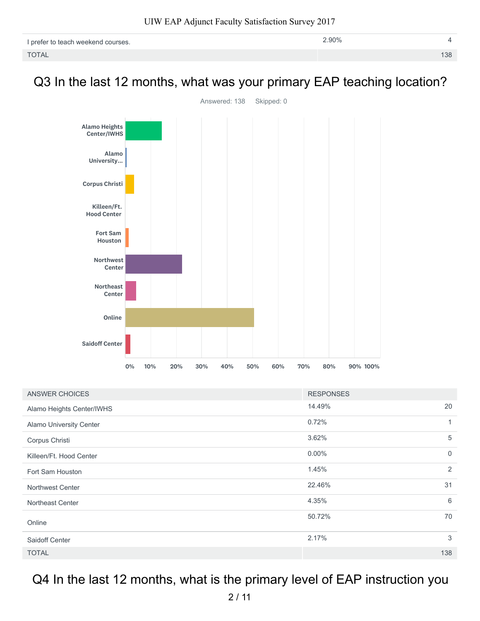| I prefer to teach weekend courses. | 2.90% |     |
|------------------------------------|-------|-----|
| <b>TOTAL</b>                       |       | 138 |

# Q3 In the last 12 months, what was your primary EAP teaching location?



| ANSWER CHOICES            | <b>RESPONSES</b> |                |
|---------------------------|------------------|----------------|
| Alamo Heights Center/IWHS | 14.49%           | 20             |
| Alamo University Center   | 0.72%            | $\mathbf{1}$   |
| Corpus Christi            | 3.62%            | 5              |
| Killeen/Ft. Hood Center   | $0.00\%$         | $\overline{0}$ |
| Fort Sam Houston          | 1.45%            | 2              |
| <b>Northwest Center</b>   | 22.46%           | 31             |
| Northeast Center          | 4.35%            | 6              |
| Online                    | 50.72%           | 70             |
| Saidoff Center            | 2.17%            | 3              |
| <b>TOTAL</b>              |                  | 138            |

# Q4 In the last 12 months, what is the primary level of EAP instruction you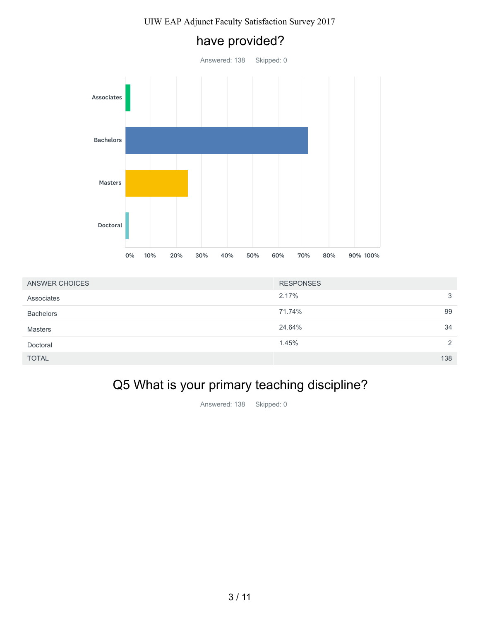have provided?

# Answered: 138 Skipped: 0 Associates Bachelors Masters Doctoral 0% 10% 20% 30% 40% 50% 60% 70% 80% 90% 100%

| ANSWER CHOICES   | <b>RESPONSES</b> |     |
|------------------|------------------|-----|
| Associates       | 2.17%            | 3   |
| <b>Bachelors</b> | 71.74%           | 99  |
| <b>Masters</b>   | 24.64%           | 34  |
| Doctoral         | 1.45%            | 2   |
| <b>TOTAL</b>     |                  | 138 |

# Q5 What is your primary teaching discipline?

Answered: 138 Skipped: 0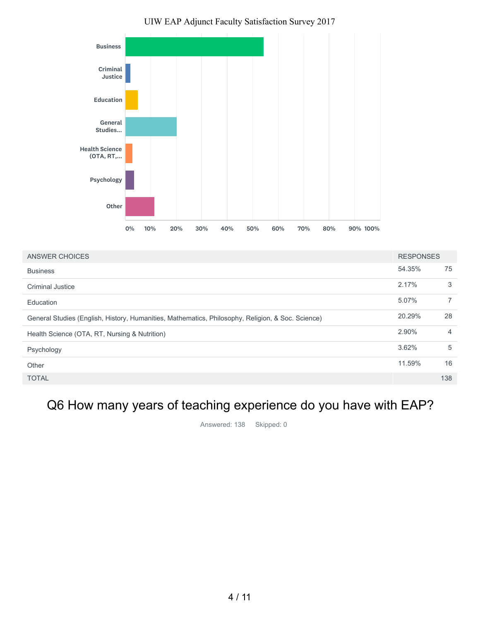

| ANSWER CHOICES                                                                                    | <b>RESPONSES</b> |                |
|---------------------------------------------------------------------------------------------------|------------------|----------------|
| <b>Business</b>                                                                                   | 54.35%           | 75             |
| <b>Criminal Justice</b>                                                                           | 2.17%            | 3              |
| Education                                                                                         | 5.07%            | $\overline{7}$ |
| General Studies (English, History, Humanities, Mathematics, Philosophy, Religion, & Soc. Science) | 20.29%           | 28             |
| Health Science (OTA, RT, Nursing & Nutrition)                                                     | 2.90%            | $\overline{4}$ |
| Psychology                                                                                        | 3.62%            | 5              |
| Other                                                                                             | 11.59%           | 16             |
| <b>TOTAL</b>                                                                                      |                  | 138            |
|                                                                                                   |                  |                |

# Q6 How many years of teaching experience do you have with EAP?

Answered: 138 Skipped: 0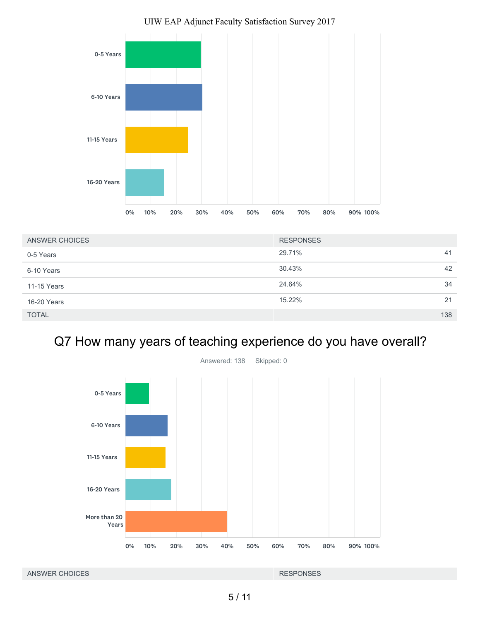

| ANSWER CHOICES | <b>RESPONSES</b> |     |
|----------------|------------------|-----|
| 0-5 Years      | 29.71%           | 41  |
| 6-10 Years     | 30.43%           | 42  |
| 11-15 Years    | 24.64%           | 34  |
| 16-20 Years    | 15.22%           | 21  |
| <b>TOTAL</b>   |                  | 138 |

# Q7 How many years of teaching experience do you have overall?

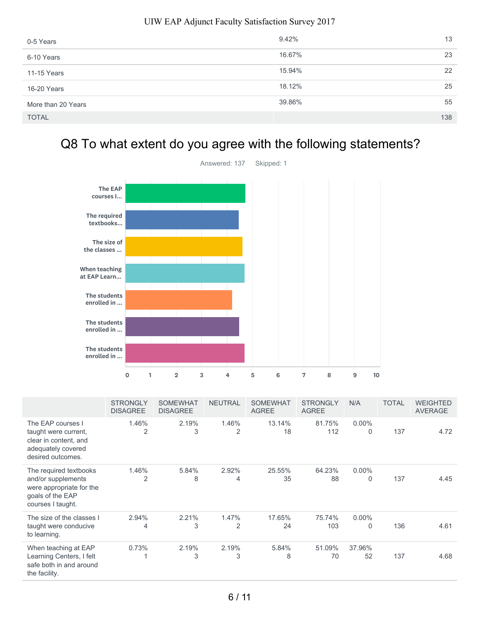| 0-5 Years          | 9.42%  | 13  |
|--------------------|--------|-----|
| 6-10 Years         | 16.67% | 23  |
| 11-15 Years        | 15.94% | 22  |
| 16-20 Years        | 18.12% | 25  |
| More than 20 Years | 39.86% | 55  |
| <b>TOTAL</b>       |        | 138 |

# Q8 To what extent do you agree with the following statements?



|                                                                                                                   | <b>STRONGLY</b><br><b>DISAGREE</b> | <b>SOMEWHAT</b><br><b>DISAGREE</b> | <b>NEUTRAL</b> | <b>SOMEWHAT</b><br><b>AGREE</b> | <b>STRONGLY</b><br><b>AGREE</b> | N/A                      | TOTAL | <b>WEIGHTED</b><br><b>AVERAGE</b> |
|-------------------------------------------------------------------------------------------------------------------|------------------------------------|------------------------------------|----------------|---------------------------------|---------------------------------|--------------------------|-------|-----------------------------------|
| The EAP courses I<br>taught were current,<br>clear in content, and<br>adequately covered<br>desired outcomes.     | 1.46%<br>2                         | 2.19%<br>3                         | 1.46%<br>2     | 13.14%<br>18                    | 81.75%<br>112                   | $0.00\%$<br>$\mathbf{0}$ | 137   | 4.72                              |
| The required textbooks<br>and/or supplements<br>were appropriate for the<br>goals of the EAP<br>courses I taught. | 1.46%<br>2                         | 5.84%<br>8                         | 2.92%<br>4     | 25.55%<br>35                    | 64.23%<br>88                    | $0.00\%$<br>0            | 137   | 4.45                              |
| The size of the classes I<br>taught were conducive<br>to learning.                                                | 2.94%<br>4                         | 2.21%<br>3                         | 1.47%<br>2     | 17.65%<br>24                    | 75.74%<br>103                   | $0.00\%$<br>0            | 136   | 4.61                              |
| When teaching at EAP<br>Learning Centers, I felt<br>safe both in and around<br>the facility.                      | 0.73%                              | 2.19%<br>3                         | 2.19%<br>3     | 5.84%<br>8                      | 51.09%<br>70                    | 37.96%<br>52             | 137   | 4.68                              |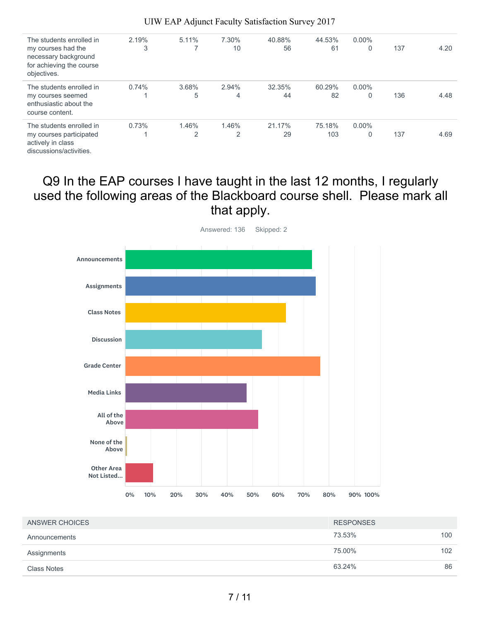| The students enrolled in<br>my courses had the<br>necessary background<br>for achieving the course<br>objectives. | 2.19%<br>3 | 5.11%      | 7.30%<br>10 | 40.88%<br>56 | 44.53%<br>61  | $0.00\%$<br>0 | 137 | 4.20 |
|-------------------------------------------------------------------------------------------------------------------|------------|------------|-------------|--------------|---------------|---------------|-----|------|
| The students enrolled in<br>my courses seemed<br>enthusiastic about the<br>course content.                        | 0.74%      | 3.68%<br>5 | 2.94%<br>4  | 32.35%<br>44 | 60.29%<br>82  | $0.00\%$<br>0 | 136 | 4.48 |
| The students enrolled in<br>my courses participated<br>actively in class<br>discussions/activities.               | 0.73%      | 1.46%<br>2 | 1.46%<br>2  | 21.17%<br>29 | 75.18%<br>103 | $0.00\%$<br>0 | 137 | 4.69 |

# Q9 In the EAP courses I have taught in the last 12 months, I regularly used the following areas of the Blackboard course shell. Please mark all that apply.



| ANSWER CHOICES | <b>RESPONSES</b> |     |
|----------------|------------------|-----|
| Announcements  | 73.53%           | 100 |
| Assignments    | 75.00%           | 102 |
| Class Notes    | 63.24%           | 86  |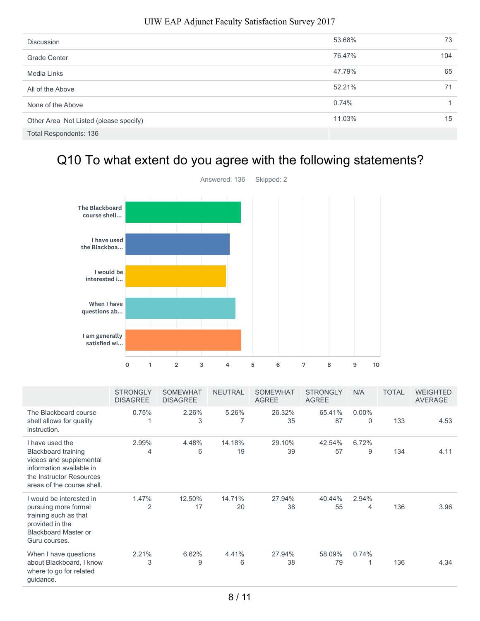| <b>Discussion</b>                      | 53.68% | 73  |
|----------------------------------------|--------|-----|
| <b>Grade Center</b>                    | 76.47% | 104 |
| Media Links                            | 47.79% | 65  |
| All of the Above                       | 52.21% | 71  |
| None of the Above                      | 0.74%  |     |
| Other Area Not Listed (please specify) | 11.03% | 15  |
| Total Respondents: 136                 |        |     |

# Q10 To what extent do you agree with the following statements?



|                                                                                                                                                                | <b>STRONGLY</b><br><b>DISAGREE</b> | <b>SOMEWHAT</b><br><b>DISAGREE</b> | <b>NEUTRAL</b> | <b>SOMEWHAT</b><br><b>AGREE</b> | <b>STRONGLY</b><br><b>AGREE</b> | N/A                     | TOTAL | <b>WEIGHTED</b><br><b>AVERAGE</b> |
|----------------------------------------------------------------------------------------------------------------------------------------------------------------|------------------------------------|------------------------------------|----------------|---------------------------------|---------------------------------|-------------------------|-------|-----------------------------------|
| The Blackboard course<br>shell allows for quality<br>instruction.                                                                                              | 0.75%                              | 2.26%<br>3                         | 5.26%          | 26.32%<br>35                    | 65.41%<br>87                    | $0.00\%$<br>$\mathbf 0$ | 133   | 4.53                              |
| I have used the<br><b>Blackboard training</b><br>videos and supplemental<br>information available in<br>the Instructor Resources<br>areas of the course shell. | 2.99%<br>4                         | 4.48%<br>6                         | 14.18%<br>19   | 29.10%<br>39                    | 42.54%<br>57                    | 6.72%<br>9              | 134   | 4.11                              |
| I would be interested in<br>pursuing more formal<br>training such as that<br>provided in the<br><b>Blackboard Master or</b><br>Guru courses.                   | 1.47%<br>2                         | 12.50%<br>17                       | 14.71%<br>20   | 27.94%<br>38                    | 40.44%<br>55                    | 2.94%<br>4              | 136   | 3.96                              |
| When I have questions<br>about Blackboard, I know<br>where to go for related<br>guidance.                                                                      | 2.21%<br>3                         | 6.62%<br>9                         | 4.41%<br>6     | 27.94%<br>38                    | 58.09%<br>79                    | 0.74%                   | 136   | 4.34                              |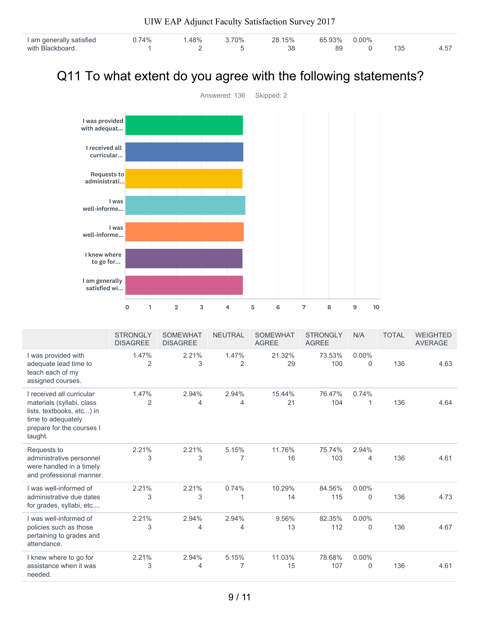|                                                                |                                    |              |                                    |            | UIW EAP Adjunct Faculty Satisfaction Survey 2017 |              |                 |                                 |              |               |    |              |                                   |
|----------------------------------------------------------------|------------------------------------|--------------|------------------------------------|------------|--------------------------------------------------|--------------|-----------------|---------------------------------|--------------|---------------|----|--------------|-----------------------------------|
| I am generally satisfied<br>with Blackboard.                   |                                    | 0.74%<br>1   |                                    | 1.48%<br>2 | 3.70%<br>5                                       |              | 28.15%<br>38    |                                 | 65.93%<br>89 | $0.00\%$<br>0 |    | 135          | 4.57                              |
| Q11 To what extent do you agree with the following statements? |                                    |              |                                    |            |                                                  |              |                 |                                 |              |               |    |              |                                   |
|                                                                |                                    |              |                                    |            | Answered: 136                                    |              | Skipped: 2      |                                 |              |               |    |              |                                   |
| I was provided<br>with adequat                                 |                                    |              |                                    |            |                                                  |              |                 |                                 |              |               |    |              |                                   |
| I received all<br>curricular                                   |                                    |              |                                    |            |                                                  |              |                 |                                 |              |               |    |              |                                   |
| <b>Requests to</b><br>administrati                             |                                    |              |                                    |            |                                                  |              |                 |                                 |              |               |    |              |                                   |
| well-informe                                                   | I was                              |              |                                    |            |                                                  |              |                 |                                 |              |               |    |              |                                   |
| well-informe                                                   | I was                              |              |                                    |            |                                                  |              |                 |                                 |              |               |    |              |                                   |
| I knew where<br>to go for                                      |                                    |              |                                    |            |                                                  |              |                 |                                 |              |               |    |              |                                   |
| I am generally<br>satisfied wi                                 |                                    |              |                                    |            |                                                  |              |                 |                                 |              |               |    |              |                                   |
|                                                                | 0                                  | $\mathbf{1}$ | $\overline{2}$                     | 3          | 4                                                | 5            | 6               | 7                               | 8            | 9             | 10 |              |                                   |
|                                                                | <b>STRONGLY</b><br><b>DISAGREE</b> |              | <b>SOMEWHAT</b><br><b>DISAGREE</b> |            | <b>NEUTRAL</b>                                   | <b>AGREE</b> | <b>SOMEWHAT</b> | <b>STRONGLY</b><br><b>AGREE</b> |              | N/A           |    | <b>TOTAL</b> | <b>WEIGHTED</b><br><b>AVERAGE</b> |

|                                                                                                                                                   | SIRONGLY<br><b>DISAGREE</b> | SUMEWHAI<br><b>DISAGREE</b> | NEUTRAL    | SUMEWHAI<br><b>AGREE</b> | SIRONGLY<br><b>AGREE</b> | N/A                      | TOTAL | WEIGHTED<br><b>AVERAGE</b> |
|---------------------------------------------------------------------------------------------------------------------------------------------------|-----------------------------|-----------------------------|------------|--------------------------|--------------------------|--------------------------|-------|----------------------------|
| I was provided with<br>adequate lead time to<br>teach each of my<br>assigned courses.                                                             | 1.47%<br>2                  | 2.21%<br>3                  | 1.47%<br>2 | 21.32%<br>29             | 73.53%<br>100            | $0.00\%$<br>$\Omega$     | 136   | 4.63                       |
| I received all curricular<br>materials (syllabi, class<br>lists, textbooks, etc) in<br>time to adequately<br>prepare for the courses I<br>taught. | 1.47%<br>$\overline{2}$     | 2.94%<br>4                  | 2.94%<br>4 | 15.44%<br>21             | 76.47%<br>104            | 0.74%                    | 136   | 4.64                       |
| Requests to<br>administrative personnel<br>were handled in a timely<br>and professional manner.                                                   | 2.21%<br>3                  | 2.21%<br>3                  | 5.15%<br>7 | 11.76%<br>16             | 75.74%<br>103            | 2.94%<br>4               | 136   | 4.61                       |
| I was well-informed of<br>administrative due dates<br>for grades, syllabi, etc                                                                    | 2.21%<br>3                  | 2.21%<br>3                  | 0.74%      | 10.29%<br>14             | 84.56%<br>115            | $0.00\%$<br>$\mathbf{0}$ | 136   | 4.73                       |
| I was well-informed of<br>policies such as those<br>pertaining to grades and<br>attendance.                                                       | 2.21%<br>3                  | 2.94%<br>4                  | 2.94%<br>4 | 9.56%<br>13              | 82.35%<br>112            | $0.00\%$<br>$\mathbf{0}$ | 136   | 4.67                       |
| I knew where to go for<br>assistance when it was<br>needed.                                                                                       | 2.21%<br>3                  | 2.94%<br>4                  | 5.15%<br>7 | 11.03%<br>15             | 78.68%<br>107            | $0.00\%$<br>$\Omega$     | 136   | 4.61                       |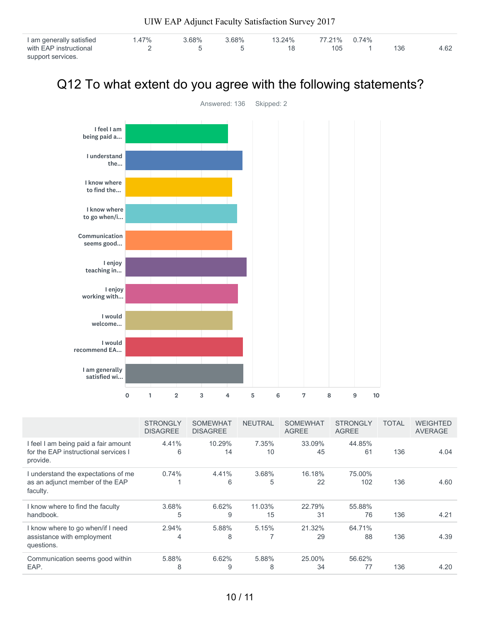| I am generally satisfied | $.47\%$ | 3.68% | 3.68% | 13.24% | 77.21% 0.74% |     |      |
|--------------------------|---------|-------|-------|--------|--------------|-----|------|
| with EAP instructional   |         |       |       |        | 105          | 136 | 4.62 |
| support services.        |         |       |       |        |              |     |      |

# Q12 To what extent do you agree with the following statements?



|                                                                                          | <b>STRONGLY</b><br><b>DISAGREE</b> | <b>SOMEWHAT</b><br><b>DISAGREE</b> | <b>NEUTRAL</b> | <b>SOMEWHAT</b><br><b>AGREE</b> | <b>STRONGLY</b><br><b>AGREE</b> | <b>TOTAL</b> | <b>WEIGHTED</b><br><b>AVERAGE</b> |
|------------------------------------------------------------------------------------------|------------------------------------|------------------------------------|----------------|---------------------------------|---------------------------------|--------------|-----------------------------------|
| I feel I am being paid a fair amount<br>for the EAP instructional services I<br>provide. | 4.41%<br>6                         | 10.29%<br>14                       | 7.35%<br>10    | 33.09%<br>45                    | 44.85%<br>61                    | 136          | 4.04                              |
| I understand the expectations of me<br>as an adjunct member of the EAP<br>faculty.       | 0.74%                              | 4.41%<br>6                         | 3.68%<br>5     | 16.18%<br>22                    | 75.00%<br>102                   | 136          | 4.60                              |
| I know where to find the faculty<br>handbook.                                            | 3.68%<br>5                         | 6.62%<br>9                         | 11.03%<br>15   | 22.79%<br>31                    | 55.88%<br>76                    | 136          | 4.21                              |
| I know where to go when/if I need<br>assistance with employment<br>questions.            | 2.94%<br>4                         | 5.88%<br>8                         | 5.15%          | 21.32%<br>29                    | 64.71%<br>88                    | 136          | 4.39                              |
| Communication seems good within<br>EAP.                                                  | 5.88%<br>8                         | 6.62%<br>9                         | 5.88%<br>8     | 25.00%<br>34                    | 56.62%<br>77                    | 136          | 4.20                              |